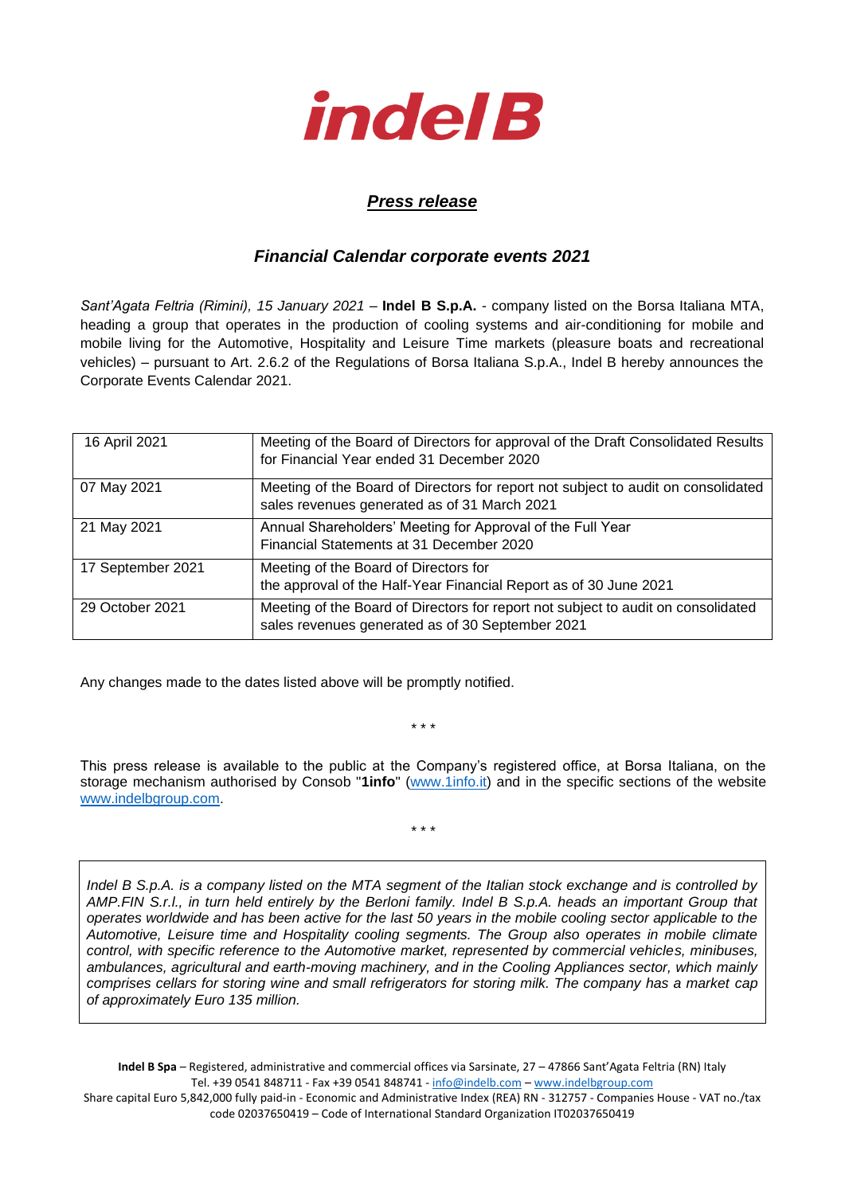

## *Press release*

## *Financial Calendar corporate events 2021*

*Sant'Agata Feltria (Rimini), 15 January 2021* – **Indel B S.p.A.** - company listed on the Borsa Italiana MTA, heading a group that operates in the production of cooling systems and air-conditioning for mobile and mobile living for the Automotive, Hospitality and Leisure Time markets (pleasure boats and recreational vehicles) – pursuant to Art. 2.6.2 of the Regulations of Borsa Italiana S.p.A., Indel B hereby announces the Corporate Events Calendar 2021.

| 16 April 2021     | Meeting of the Board of Directors for approval of the Draft Consolidated Results<br>for Financial Year ended 31 December 2020         |
|-------------------|---------------------------------------------------------------------------------------------------------------------------------------|
| 07 May 2021       | Meeting of the Board of Directors for report not subject to audit on consolidated<br>sales revenues generated as of 31 March 2021     |
| 21 May 2021       | Annual Shareholders' Meeting for Approval of the Full Year<br>Financial Statements at 31 December 2020                                |
| 17 September 2021 | Meeting of the Board of Directors for<br>the approval of the Half-Year Financial Report as of 30 June 2021                            |
| 29 October 2021   | Meeting of the Board of Directors for report not subject to audit on consolidated<br>sales revenues generated as of 30 September 2021 |

Any changes made to the dates listed above will be promptly notified.

This press release is available to the public at the Company's registered office, at Borsa Italiana, on the storage mechanism authorised by Consob "**1info**" [\(www.1info.it\)](file:///C:/Users/ddelietovollaro/AppData/Local/Microsoft/Windows/INetCache/Content.Outlook/T87B94UR/www.1info.it) and in the specific sections of the website [www.indelbgroup.com.](http://www.indelbgroup.com/)

\* \* \*

\* \* \*

*Indel B S.p.A. is a company listed on the MTA segment of the Italian stock exchange and is controlled by AMP.FIN S.r.l., in turn held entirely by the Berloni family. Indel B S.p.A. heads an important Group that operates worldwide and has been active for the last 50 years in the mobile cooling sector applicable to the Automotive, Leisure time and Hospitality cooling segments. The Group also operates in mobile climate control, with specific reference to the Automotive market, represented by commercial vehicles, minibuses, ambulances, agricultural and earth-moving machinery, and in the Cooling Appliances sector, which mainly comprises cellars for storing wine and small refrigerators for storing milk. The company has a market cap of approximately Euro 135 million.*

**Indel B Spa** – Registered, administrative and commercial offices via Sarsinate, 27 – 47866 Sant'Agata Feltria (RN) Italy Tel. +39 0541 848711 - Fax +39 0541 848741 - [info@indelb.com](mailto:info@indelb.com) - [www.indelbgroup.com](http://www.indelbgroup.com/) Share capital Euro 5,842,000 fully paid-in - Economic and Administrative Index (REA) RN - 312757 - Companies House - VAT no./tax

code 02037650419 – Code of International Standard Organization IT02037650419